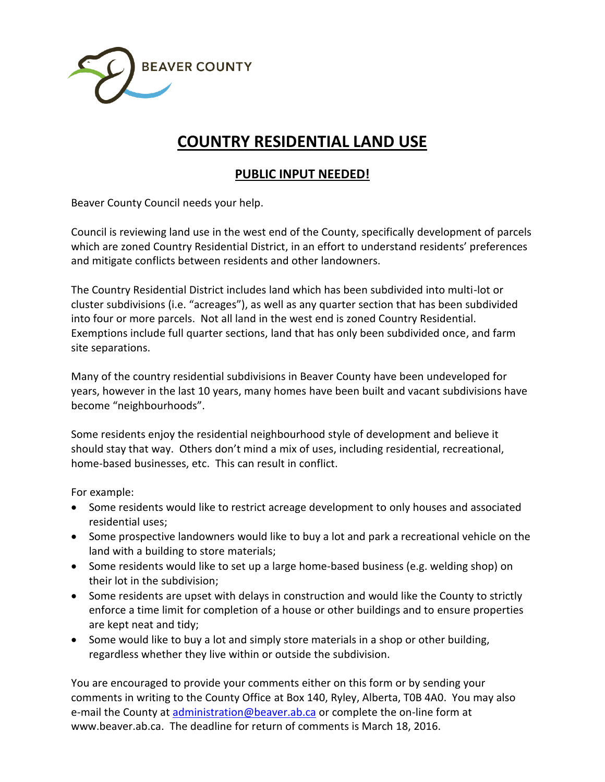

## **COUNTRY RESIDENTIAL LAND USE**

## **PUBLIC INPUT NEEDED!**

Beaver County Council needs your help.

Council is reviewing land use in the west end of the County, specifically development of parcels which are zoned Country Residential District, in an effort to understand residents' preferences and mitigate conflicts between residents and other landowners.

The Country Residential District includes land which has been subdivided into multi-lot or cluster subdivisions (i.e. "acreages"), as well as any quarter section that has been subdivided into four or more parcels. Not all land in the west end is zoned Country Residential. Exemptions include full quarter sections, land that has only been subdivided once, and farm site separations.

Many of the country residential subdivisions in Beaver County have been undeveloped for years, however in the last 10 years, many homes have been built and vacant subdivisions have become "neighbourhoods".

Some residents enjoy the residential neighbourhood style of development and believe it should stay that way. Others don't mind a mix of uses, including residential, recreational, home-based businesses, etc. This can result in conflict.

For example:

- Some residents would like to restrict acreage development to only houses and associated residential uses;
- Some prospective landowners would like to buy a lot and park a recreational vehicle on the land with a building to store materials;
- Some residents would like to set up a large home-based business (e.g. welding shop) on their lot in the subdivision;
- Some residents are upset with delays in construction and would like the County to strictly enforce a time limit for completion of a house or other buildings and to ensure properties are kept neat and tidy;
- Some would like to buy a lot and simply store materials in a shop or other building, regardless whether they live within or outside the subdivision.

You are encouraged to provide your comments either on this form or by sending your comments in writing to the County Office at Box 140, Ryley, Alberta, T0B 4A0. You may also e-mail the County at [administration@beaver.ab.ca](mailto:administration@beaver.ab.ca) or complete the on-line form at www.beaver.ab.ca. The deadline for return of comments is March 18, 2016.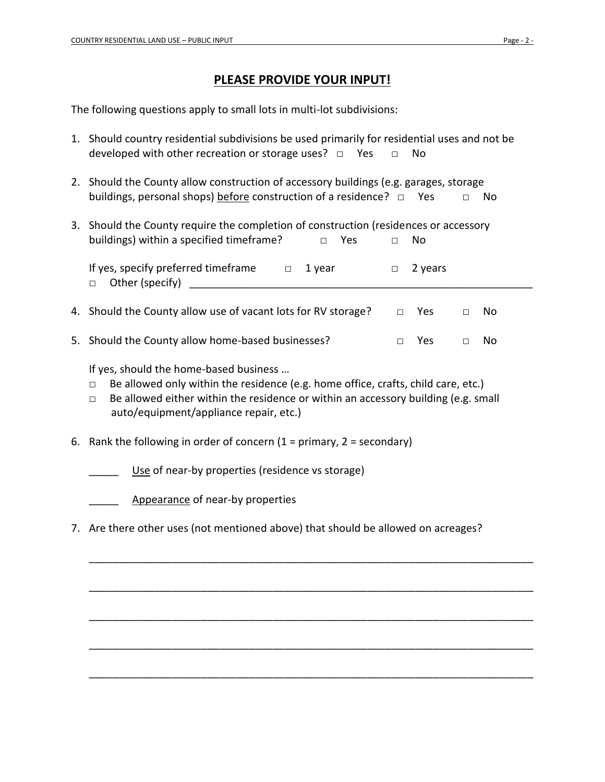## **PLEASE PROVIDE YOUR INPUT!**

The following questions apply to small lots in multi-lot subdivisions:

- 1. Should country residential subdivisions be used primarily for residential uses and not be developed with other recreation or storage uses?  $\Box$  Yes  $\Box$  No
- 2. Should the County allow construction of accessory buildings (e.g. garages, storage buildings, personal shops) before construction of a residence? □ Yes □ No
- 3. Should the County require the completion of construction (residences or accessory buildings) within a specified timeframe? □ Yes □ No

| If yes, specify preferred timeframe<br>$\Box$ Other (specify) |  | □ 1 vear | $\Box$ 2 years |     |  |
|---------------------------------------------------------------|--|----------|----------------|-----|--|
| 4. Should the County allow use of vacant lots for RV storage? |  |          | <b>Yes</b>     | No. |  |

5. Should the County allow home-based businesses? □ Yes □ No

If yes, should the home-based business …

- $\Box$  Be allowed only within the residence (e.g. home office, crafts, child care, etc.)
- $\Box$  Be allowed either within the residence or within an accessory building (e.g. small auto/equipment/appliance repair, etc.)
- 6. Rank the following in order of concern  $(1 = \text{primary}, 2 = \text{secondary})$

Use of near-by properties (residence vs storage)

Appearance of near-by properties

7. Are there other uses (not mentioned above) that should be allowed on acreages?

\_\_\_\_\_\_\_\_\_\_\_\_\_\_\_\_\_\_\_\_\_\_\_\_\_\_\_\_\_\_\_\_\_\_\_\_\_\_\_\_\_\_\_\_\_\_\_\_\_\_\_\_\_\_\_\_\_\_\_\_\_\_\_\_\_\_\_\_\_\_\_\_\_\_\_

\_\_\_\_\_\_\_\_\_\_\_\_\_\_\_\_\_\_\_\_\_\_\_\_\_\_\_\_\_\_\_\_\_\_\_\_\_\_\_\_\_\_\_\_\_\_\_\_\_\_\_\_\_\_\_\_\_\_\_\_\_\_\_\_\_\_\_\_\_\_\_\_\_\_\_

\_\_\_\_\_\_\_\_\_\_\_\_\_\_\_\_\_\_\_\_\_\_\_\_\_\_\_\_\_\_\_\_\_\_\_\_\_\_\_\_\_\_\_\_\_\_\_\_\_\_\_\_\_\_\_\_\_\_\_\_\_\_\_\_\_\_\_\_\_\_\_\_\_\_\_

\_\_\_\_\_\_\_\_\_\_\_\_\_\_\_\_\_\_\_\_\_\_\_\_\_\_\_\_\_\_\_\_\_\_\_\_\_\_\_\_\_\_\_\_\_\_\_\_\_\_\_\_\_\_\_\_\_\_\_\_\_\_\_\_\_\_\_\_\_\_\_\_\_\_\_

\_\_\_\_\_\_\_\_\_\_\_\_\_\_\_\_\_\_\_\_\_\_\_\_\_\_\_\_\_\_\_\_\_\_\_\_\_\_\_\_\_\_\_\_\_\_\_\_\_\_\_\_\_\_\_\_\_\_\_\_\_\_\_\_\_\_\_\_\_\_\_\_\_\_\_